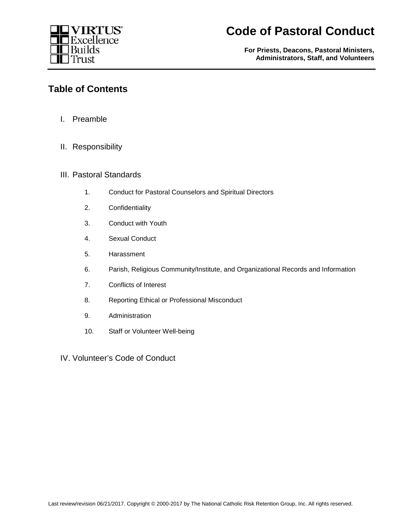

**For Priests, Deacons, Pastoral Ministers, Administrators, Staff, and Volunteers**

### **Table of Contents**

- I. Preamble
- II. Responsibility
- III. Pastoral Standards
	- 1. Conduct for Pastoral Counselors and Spiritual Directors
	- 2. Confidentiality
	- 3. Conduct with Youth
	- 4. Sexual Conduct
	- 5. Harassment
	- 6. Parish, Religious Community/Institute, and Organizational Records and Information
	- 7. Conflicts of Interest
	- 8. Reporting Ethical or Professional Misconduct
	- 9. Administration
	- 10. Staff or Volunteer Well-being

IV. Volunteer's Code of Conduct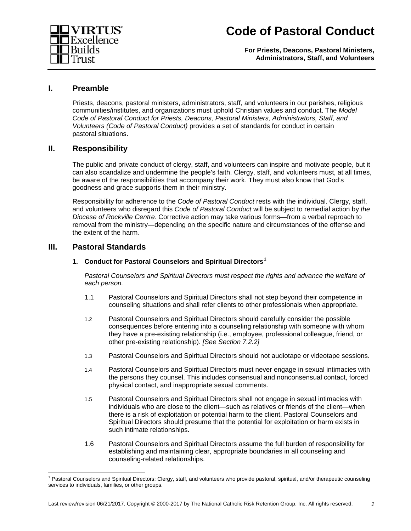

**For Priests, Deacons, Pastoral Ministers, Administrators, Staff, and Volunteers**

### **I. Preamble**

Priests, deacons, pastoral ministers, administrators, staff, and volunteers in our parishes, religious communities/institutes, and organizations must uphold Christian values and conduct. The *Model Code of Pastoral Conduct for Priests, Deacons, Pastoral Ministers, Administrators, Staff, and Volunteers (Code of Pastoral Conduct)* provides a set of standards for conduct in certain pastoral situations.

### **II. Responsibility**

The public and private conduct of clergy, staff, and volunteers can inspire and motivate people, but it can also scandalize and undermine the people's faith. Clergy, staff, and volunteers must, at all times, be aware of the responsibilities that accompany their work. They must also know that God's goodness and grace supports them in their ministry.

Responsibility for adherence to the *Code of Pastoral Conduct* rests with the individual. Clergy, staff, and volunteers who disregard this *Code of Pastoral Conduct* will be subject to remedial action by *the Diocese of Rockville Centre*. Corrective action may take various forms—from a verbal reproach to removal from the ministry—depending on the specific nature and circumstances of the offense and the extent of the harm.

### **III. Pastoral Standards**

#### **1. Conduct for Pastoral Counselors and Spiritual Directors[1](#page-1-0)**

*Pastoral Counselors and Spiritual Directors must respect the rights and advance the welfare of each person.*

- 1.1 Pastoral Counselors and Spiritual Directors shall not step beyond their competence in counseling situations and shall refer clients to other professionals when appropriate.
- 1.2 Pastoral Counselors and Spiritual Directors should carefully consider the possible consequences before entering into a counseling relationship with someone with whom they have a pre-existing relationship (i.e., employee, professional colleague, friend, or other pre-existing relationship). *[See Section 7.2.2]*
- 1.3 Pastoral Counselors and Spiritual Directors should not audiotape or videotape sessions.
- 1.4 Pastoral Counselors and Spiritual Directors must never engage in sexual intimacies with the persons they counsel. This includes consensual and nonconsensual contact, forced physical contact, and inappropriate sexual comments.
- 1.5 Pastoral Counselors and Spiritual Directors shall not engage in sexual intimacies with individuals who are close to the client—such as relatives or friends of the client—when there is a risk of exploitation or potential harm to the client. Pastoral Counselors and Spiritual Directors should presume that the potential for exploitation or harm exists in such intimate relationships.
- 1.6 Pastoral Counselors and Spiritual Directors assume the full burden of responsibility for establishing and maintaining clear, appropriate boundaries in all counseling and counseling-related relationships.

<span id="page-1-0"></span><sup>&</sup>lt;sup>1</sup> Pastoral Counselors and Spiritual Directors: Clergy, staff, and volunteers who provide pastoral, spiritual, and/or therapeutic counseling services to individuals, families, or other groups.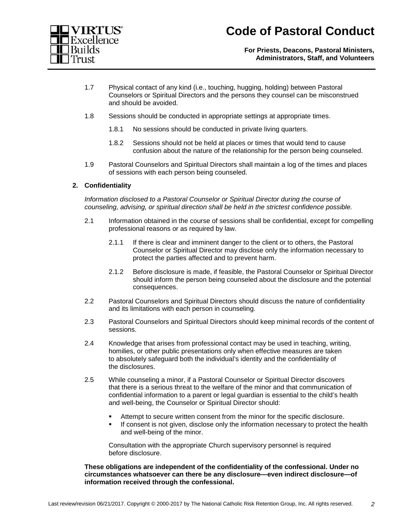



**For Priests, Deacons, Pastoral Ministers, Administrators, Staff, and Volunteers**

- 1.7 Physical contact of any kind (i.e., touching, hugging, holding) between Pastoral Counselors or Spiritual Directors and the persons they counsel can be misconstrued and should be avoided.
- 1.8 Sessions should be conducted in appropriate settings at appropriate times.
	- 1.8.1 No sessions should be conducted in private living quarters.
	- 1.8.2 Sessions should not be held at places or times that would tend to cause confusion about the nature of the relationship for the person being counseled.
- 1.9 Pastoral Counselors and Spiritual Directors shall maintain a log of the times and places of sessions with each person being counseled.

#### **2. Confidentiality**

*Information disclosed to a Pastoral Counselor or Spiritual Director during the course of counseling, advising, or spiritual direction shall be held in the strictest confidence possible.*

- 2.1 Information obtained in the course of sessions shall be confidential, except for compelling professional reasons or as required by law.
	- 2.1.1 If there is clear and imminent danger to the client or to others, the Pastoral Counselor or Spiritual Director may disclose only the information necessary to protect the parties affected and to prevent harm.
	- 2.1.2 Before disclosure is made, if feasible, the Pastoral Counselor or Spiritual Director should inform the person being counseled about the disclosure and the potential consequences.
- 2.2 Pastoral Counselors and Spiritual Directors should discuss the nature of confidentiality and its limitations with each person in counseling.
- 2.3 Pastoral Counselors and Spiritual Directors should keep minimal records of the content of sessions.
- 2.4 Knowledge that arises from professional contact may be used in teaching, writing, homilies, or other public presentations only when effective measures are taken to absolutely safeguard both the individual's identity and the confidentiality of the disclosures.
- 2.5 While counseling a minor, if a Pastoral Counselor or Spiritual Director discovers that there is a serious threat to the welfare of the minor and that communication of confidential information to a parent or legal guardian is essential to the child's health and well-being, the Counselor or Spiritual Director should:
	- Attempt to secure written consent from the minor for the specific disclosure.
	- If consent is not given, disclose only the information necessary to protect the health and well-being of the minor.

Consultation with the appropriate Church supervisory personnel is required before disclosure.

**These obligations are independent of the confidentiality of the confessional. Under no circumstances whatsoever can there be any disclosure—even indirect disclosure—of information received through the confessional.**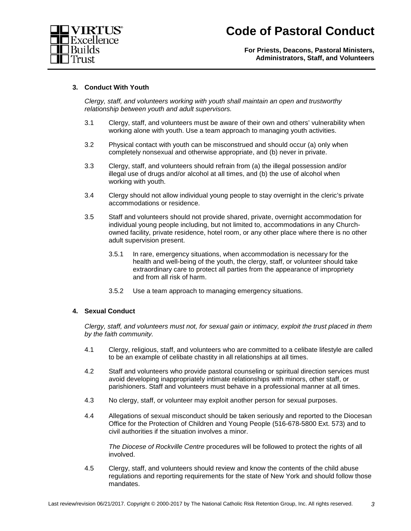

**For Priests, Deacons, Pastoral Ministers, Administrators, Staff, and Volunteers**

#### **3. Conduct With Youth**

*Clergy, staff, and volunteers working with youth shall maintain an open and trustworthy relationship between youth and adult supervisors.*

- 3.1 Clergy, staff, and volunteers must be aware of their own and others' vulnerability when working alone with youth. Use a team approach to managing youth activities.
- 3.2 Physical contact with youth can be misconstrued and should occur (a) only when completely nonsexual and otherwise appropriate, and (b) never in private.
- 3.3 Clergy, staff, and volunteers should refrain from (a) the illegal possession and/or illegal use of drugs and/or alcohol at all times, and (b) the use of alcohol when working with youth.
- 3.4 Clergy should not allow individual young people to stay overnight in the cleric's private accommodations or residence.
- 3.5 Staff and volunteers should not provide shared, private, overnight accommodation for individual young people including, but not limited to, accommodations in any Churchowned facility, private residence, hotel room, or any other place where there is no other adult supervision present.
	- 3.5.1 In rare, emergency situations, when accommodation is necessary for the health and well-being of the youth, the clergy, staff, or volunteer should take extraordinary care to protect all parties from the appearance of impropriety and from all risk of harm.
	- 3.5.2 Use a team approach to managing emergency situations.

#### **4. Sexual Conduct**

*Clergy, staff, and volunteers must not, for sexual gain or intimacy, exploit the trust placed in them by the faith community.*

- 4.1 Clergy, religious, staff, and volunteers who are committed to a celibate lifestyle are called to be an example of celibate chastity in all relationships at all times.
- 4.2 Staff and volunteers who provide pastoral counseling or spiritual direction services must avoid developing inappropriately intimate relationships with minors, other staff, or parishioners. Staff and volunteers must behave in a professional manner at all times.
- 4.3 No clergy, staff, or volunteer may exploit another person for sexual purposes.
- 4.4 Allegations of sexual misconduct should be taken seriously and reported to the Diocesan Office for the Protection of Children and Young People (516-678-5800 Ext. 573) and to civil authorities if the situation involves a minor.

*The Diocese of Rockville Centre* procedures will be followed to protect the rights of all involved.

4.5 Clergy, staff, and volunteers should review and know the contents of the child abuse regulations and reporting requirements for the state of New York and should follow those mandates.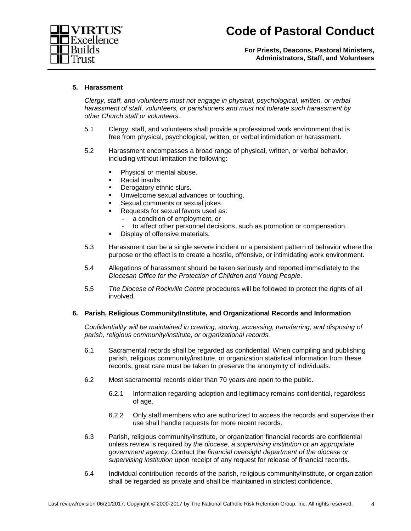



**For Priests, Deacons, Pastoral Ministers, Administrators, Staff, and Volunteers**

#### **5. Harassment**

*Clergy, staff, and volunteers must not engage in physical, psychological, written, or verbal harassment of staff, volunteers, or parishioners and must not tolerate such harassment by other Church staff or volunteers.*

- 5.1 Clergy, staff, and volunteers shall provide a professional work environment that is free from physical, psychological, written, or verbal intimidation or harassment.
- 5.2 Harassment encompasses a broad range of physical, written, or verbal behavior, including without limitation the following:
	- Physical or mental abuse.
	- **Racial insults.**
	- **Derogatory ethnic slurs.**
	- Unwelcome sexual advances or touching.
	- **Sexual comments or sexual jokes.**
	- Requests for sexual favors used as:
		- a condition of employment, or
		- to affect other personnel decisions, such as promotion or compensation.
	- Display of offensive materials.
- 5.3 Harassment can be a single severe incident or a persistent pattern of behavior where the purpose or the effect is to create a hostile, offensive, or intimidating work environment.
- 5.4 Allegations of harassment should be taken seriously and reported immediately to the *Diocesan Office for the Protection of Children and Young People*.
- 5.5 *The Diocese of Rockville Centre* procedures will be followed to protect the rights of all involved.

#### **6. Parish, Religious Community/Institute, and Organizational Records and Information**

*Confidentiality will be maintained in creating, storing, accessing, transferring, and disposing of parish, religious community/institute, or organizational records.*

- 6.1 Sacramental records shall be regarded as confidential. When compiling and publishing parish, religious community/institute, or organization statistical information from these records, great care must be taken to preserve the anonymity of individuals.
- 6.2 Most sacramental records older than 70 years are open to the public.
	- 6.2.1 Information regarding adoption and legitimacy remains confidential, regardless of age.
	- 6.2.2 Only staff members who are authorized to access the records and supervise their use shall handle requests for more recent records.
- 6.3 Parish, religious community/institute, or organization financial records are confidential unless review is required by *the diocese, a supervising institution* or *an appropriate government agency.* Contact the *financial oversight department of the diocese or supervising institution* upon receipt of any request for release of financial records.
- 6.4 Individual contribution records of the parish, religious community/institute, or organization shall be regarded as private and shall be maintained in strictest confidence.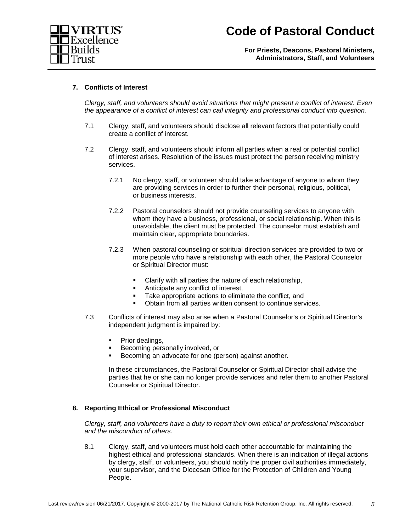

**For Priests, Deacons, Pastoral Ministers, Administrators, Staff, and Volunteers**

#### **7. Conflicts of Interest**

*Clergy, staff, and volunteers should avoid situations that might present a conflict of interest. Even the appearance of a conflict of interest can call integrity and professional conduct into question.*

- 7.1 Clergy, staff, and volunteers should disclose all relevant factors that potentially could create a conflict of interest.
- 7.2 Clergy, staff, and volunteers should inform all parties when a real or potential conflict of interest arises. Resolution of the issues must protect the person receiving ministry services.
	- 7.2.1 No clergy, staff, or volunteer should take advantage of anyone to whom they are providing services in order to further their personal, religious, political, or business interests.
	- 7.2.2 Pastoral counselors should not provide counseling services to anyone with whom they have a business, professional, or social relationship. When this is unavoidable, the client must be protected. The counselor must establish and maintain clear, appropriate boundaries.
	- 7.2.3 When pastoral counseling or spiritual direction services are provided to two or more people who have a relationship with each other, the Pastoral Counselor or Spiritual Director must:
		- **Clarify with all parties the nature of each relationship,**
		- Anticipate any conflict of interest,
		- Take appropriate actions to eliminate the conflict, and
		- Obtain from all parties written consent to continue services.
- 7.3 Conflicts of interest may also arise when a Pastoral Counselor's or Spiritual Director's independent judgment is impaired by:
	- Prior dealings,
	- Becoming personally involved, or
	- Becoming an advocate for one (person) against another.

In these circumstances, the Pastoral Counselor or Spiritual Director shall advise the parties that he or she can no longer provide services and refer them to another Pastoral Counselor or Spiritual Director.

#### **8. Reporting Ethical or Professional Misconduct**

*Clergy, staff, and volunteers have a duty to report their own ethical or professional misconduct and the misconduct of others.*

8.1 Clergy, staff, and volunteers must hold each other accountable for maintaining the highest ethical and professional standards. When there is an indication of illegal actions by clergy, staff, or volunteers, you should notify the proper civil authorities immediately, your supervisor, and the Diocesan Office for the Protection of Children and Young People.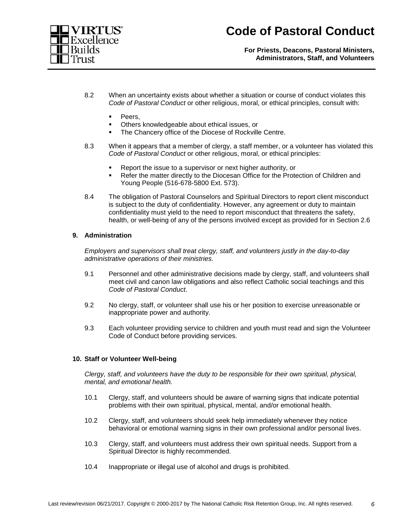

**For Priests, Deacons, Pastoral Ministers, Administrators, Staff, and Volunteers**

- 8.2 When an uncertainty exists about whether a situation or course of conduct violates this *Code of Pastoral Conduct* or other religious, moral, or ethical principles, consult with:
	- Peers.
	- Others knowledgeable about ethical issues, or
	- The Chancery office of the Diocese of Rockville Centre.
- 8.3 When it appears that a member of clergy, a staff member, or a volunteer has violated this *Code of Pastoral Conduct* or other religious, moral, or ethical principles:
	- Report the issue to a supervisor or next higher authority, or
	- Refer the matter directly to the Diocesan Office for the Protection of Children and Young People (516-678-5800 Ext. 573).
- 8.4 The obligation of Pastoral Counselors and Spiritual Directors to report client misconduct is subject to the duty of confidentiality. However, any agreement or duty to maintain confidentiality must yield to the need to report misconduct that threatens the safety, health, or well-being of any of the persons involved except as provided for in Section 2.6

#### **9. Administration**

*Employers and supervisors shall treat clergy, staff, and volunteers justly in the day-to-day administrative operations of their ministries.*

- 9.1 Personnel and other administrative decisions made by clergy, staff, and volunteers shall meet civil and canon law obligations and also reflect Catholic social teachings and this *Code of Pastoral Conduct*.
- 9.2 No clergy, staff, or volunteer shall use his or her position to exercise unreasonable or inappropriate power and authority.
- 9.3 Each volunteer providing service to children and youth must read and sign the Volunteer Code of Conduct before providing services.

#### **10. Staff or Volunteer Well-being**

*Clergy, staff, and volunteers have the duty to be responsible for their own spiritual, physical, mental, and emotional health.*

- 10.1 Clergy, staff, and volunteers should be aware of warning signs that indicate potential problems with their own spiritual, physical, mental, and/or emotional health.
- 10.2 Clergy, staff, and volunteers should seek help immediately whenever they notice behavioral or emotional warning signs in their own professional and/or personal lives.
- 10.3 Clergy, staff, and volunteers must address their own spiritual needs. Support from a Spiritual Director is highly recommended.
- 10.4 Inappropriate or illegal use of alcohol and drugs is prohibited.